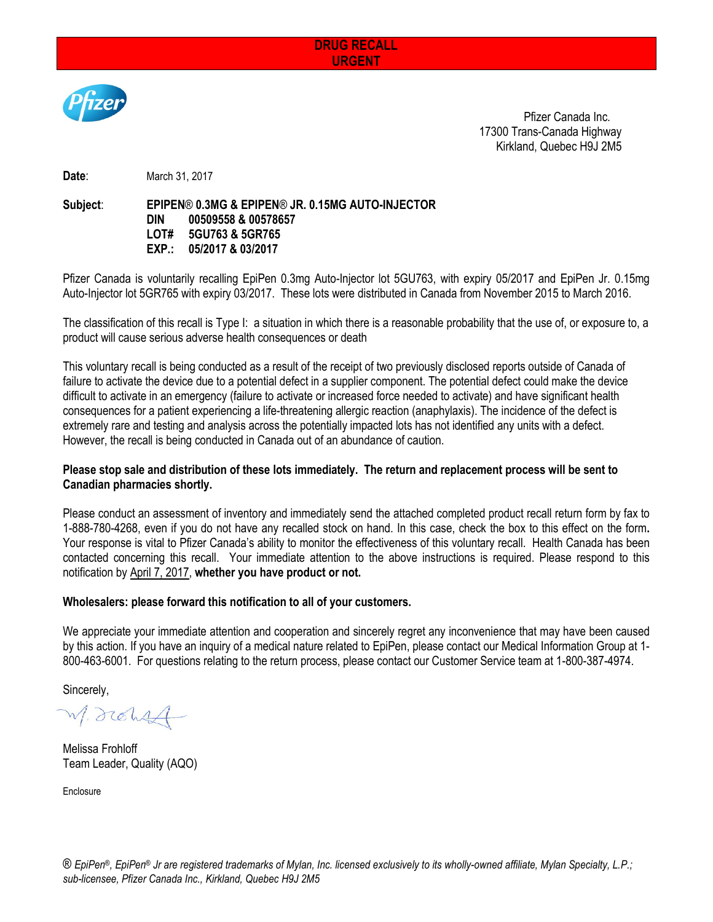# **DRUG RECALL URGENT**



Pfizer Canada Inc. 17300 Trans-Canada Highway Kirkland, Quebec H9J 2M5

**Date**: March 31, 2017

#### **Subject**: **EPIPEN**® **0.3MG & EPIPEN**® **JR. 0.15MG AUTO-INJECTOR DIN 00509558 & 00578657 LOT# 5GU763 & 5GR765 EXP.: 05/2017 & 03/2017**

Pfizer Canada is voluntarily recalling EpiPen 0.3mg Auto-Injector lot 5GU763, with expiry 05/2017 and EpiPen Jr. 0.15mg Auto-Injector lot 5GR765 with expiry 03/2017. These lots were distributed in Canada from November 2015 to March 2016.

The classification of this recall is Type I: a situation in which there is a reasonable probability that the use of, or exposure to, a product will cause serious adverse health consequences or death

This voluntary recall is being conducted as a result of the receipt of two previously disclosed reports outside of Canada of failure to activate the device due to a potential defect in a supplier component. The potential defect could make the device difficult to activate in an emergency (failure to activate or increased force needed to activate) and have significant health consequences for a patient experiencing a life-threatening allergic reaction (anaphylaxis). The incidence of the defect is extremely rare and testing and analysis across the potentially impacted lots has not identified any units with a defect. However, the recall is being conducted in Canada out of an abundance of caution.

# **Please stop sale and distribution of these lots immediately. The return and replacement process will be sent to Canadian pharmacies shortly.**

Please conduct an assessment of inventory and immediately send the attached completed product recall return form by fax to 1-888-780-4268, even if you do not have any recalled stock on hand. In this case, check the box to this effect on the form**.**  Your response is vital to Pfizer Canada's ability to monitor the effectiveness of this voluntary recall. Health Canada has been contacted concerning this recall. Your immediate attention to the above instructions is required. Please respond to this notification by April 7, 2017, **whether you have product or not.**

### **Wholesalers: please forward this notification to all of your customers.**

We appreciate your immediate attention and cooperation and sincerely regret any inconvenience that may have been caused by this action. If you have an inquiry of a medical nature related to EpiPen, please contact our Medical Information Group at 1- 800-463-6001. For questions relating to the return process, please contact our Customer Service team at 1-800-387-4974.

Sincerely,

M. drohst

Melissa Frohloff Team Leader, Quality (AQO)

**Enclosure**